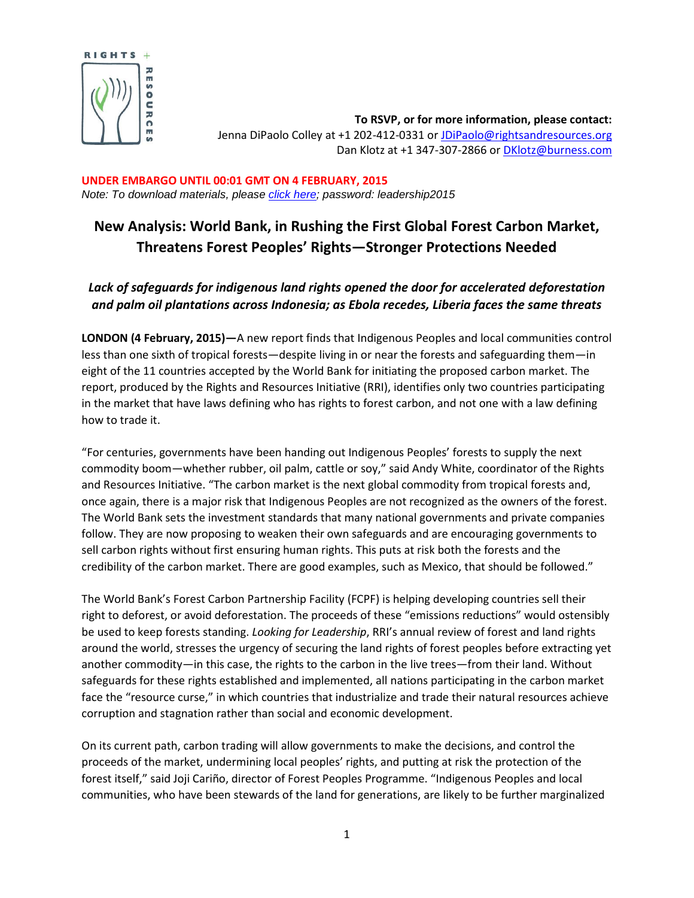

**To RSVP, or for more information, please contact:** Jenna DiPaolo Colley at +1 202-412-0331 or [JDiPaolo@rightsandresources.org](mailto:JDiPaolo@rightsandresources.org) Dan Klotz at +1 347-307-2866 or [DKlotz@burness.com](mailto:DKlotz@burness.com)

**UNDER EMBARGO UNTIL 00:01 GMT ON 4 FEBRUARY, 2015** *Note: To download materials, please [click here;](http://www.rightsandresources.org/looking-for-leadership-new-inspiration-and-momentum-amidst-crises/) password: leadership2015*

## **New Analysis: World Bank, in Rushing the First Global Forest Carbon Market, Threatens Forest Peoples' Rights—Stronger Protections Needed**

## *Lack of safeguards for indigenous land rights opened the door for accelerated deforestation and palm oil plantations across Indonesia; as Ebola recedes, Liberia faces the same threats*

**LONDON (4 February, 2015)—**A new report finds that Indigenous Peoples and local communities control less than one sixth of tropical forests—despite living in or near the forests and safeguarding them—in eight of the 11 countries accepted by the World Bank for initiating the proposed carbon market. The report, produced by the Rights and Resources Initiative (RRI), identifies only two countries participating in the market that have laws defining who has rights to forest carbon, and not one with a law defining how to trade it.

"For centuries, governments have been handing out Indigenous Peoples' forests to supply the next commodity boom—whether rubber, oil palm, cattle or soy," said Andy White, coordinator of the Rights and Resources Initiative. "The carbon market is the next global commodity from tropical forests and, once again, there is a major risk that Indigenous Peoples are not recognized as the owners of the forest. The World Bank sets the investment standards that many national governments and private companies follow. They are now proposing to weaken their own safeguards and are encouraging governments to sell carbon rights without first ensuring human rights. This puts at risk both the forests and the credibility of the carbon market. There are good examples, such as Mexico, that should be followed."

The World Bank's Forest Carbon Partnership Facility (FCPF) is helping developing countries sell their right to deforest, or avoid deforestation. The proceeds of these "emissions reductions" would ostensibly be used to keep forests standing. *Looking for Leadership*, RRI's annual review of forest and land rights around the world, stresses the urgency of securing the land rights of forest peoples before extracting yet another commodity—in this case, the rights to the carbon in the live trees—from their land. Without safeguards for these rights established and implemented, all nations participating in the carbon market face the "resource curse," in which countries that industrialize and trade their natural resources achieve corruption and stagnation rather than social and economic development.

On its current path, carbon trading will allow governments to make the decisions, and control the proceeds of the market, undermining local peoples' rights, and putting at risk the protection of the forest itself," said Joji Cariño, director of Forest Peoples Programme. "Indigenous Peoples and local communities, who have been stewards of the land for generations, are likely to be further marginalized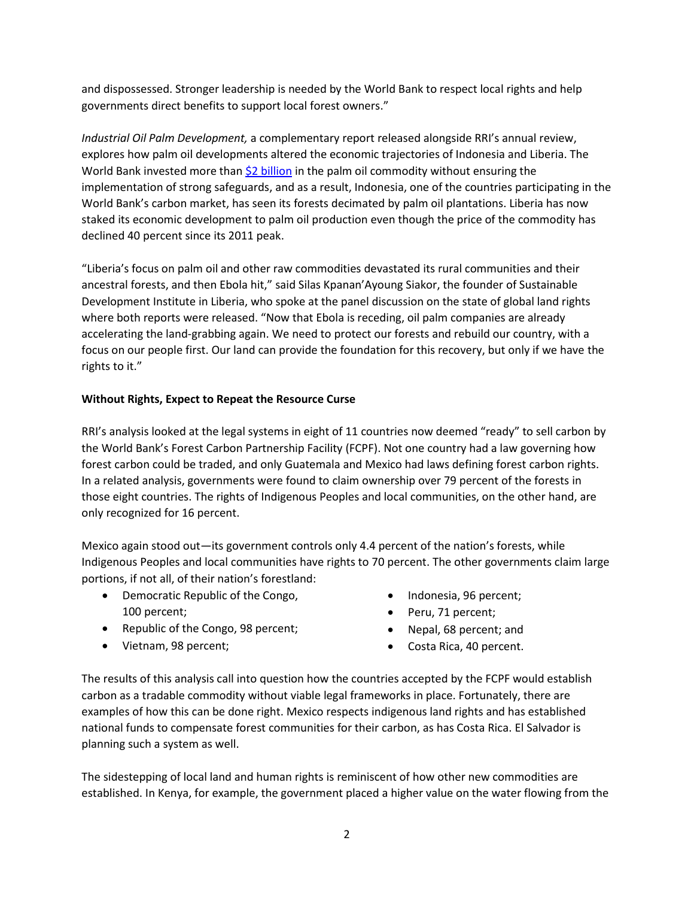and dispossessed. Stronger leadership is needed by the World Bank to respect local rights and help governments direct benefits to support local forest owners."

*Industrial Oil Palm Development,* a complementary report released alongside RRI's annual review, explores how palm oil developments altered the economic trajectories of Indonesia and Liberia. The World Bank invested more tha[n \\$2 billion](http://www.forestpeoples.org/topics/palm-oil-rspo/news/2010/10/palm-oil-human-rights-and-world-bank-update) in the palm oil commodity without ensuring the implementation of strong safeguards, and as a result, Indonesia, one of the countries participating in the World Bank's carbon market, has seen its forests decimated by palm oil plantations. Liberia has now staked its economic development to palm oil production even though the price of the commodity has declined 40 percent since its 2011 peak.

"Liberia's focus on palm oil and other raw commodities devastated its rural communities and their ancestral forests, and then Ebola hit," said Silas Kpanan'Ayoung Siakor, the founder of Sustainable Development Institute in Liberia, who spoke at the panel discussion on the state of global land rights where both reports were released. "Now that Ebola is receding, oil palm companies are already accelerating the land-grabbing again. We need to protect our forests and rebuild our country, with a focus on our people first. Our land can provide the foundation for this recovery, but only if we have the rights to it."

## **Without Rights, Expect to Repeat the Resource Curse**

RRI's analysis looked at the legal systems in eight of 11 countries now deemed "ready" to sell carbon by the World Bank's Forest Carbon Partnership Facility (FCPF). Not one country had a law governing how forest carbon could be traded, and only Guatemala and Mexico had laws defining forest carbon rights. In a related analysis, governments were found to claim ownership over 79 percent of the forests in those eight countries. The rights of Indigenous Peoples and local communities, on the other hand, are only recognized for 16 percent.

Mexico again stood out—its government controls only 4.4 percent of the nation's forests, while Indigenous Peoples and local communities have rights to 70 percent. The other governments claim large portions, if not all, of their nation's forestland:

- Democratic Republic of the Congo, 100 percent;
- Republic of the Congo, 98 percent;
- Vietnam, 98 percent;
- Indonesia, 96 percent;
- Peru, 71 percent;
- Nepal, 68 percent; and
- Costa Rica, 40 percent.

The results of this analysis call into question how the countries accepted by the FCPF would establish carbon as a tradable commodity without viable legal frameworks in place. Fortunately, there are examples of how this can be done right. Mexico respects indigenous land rights and has established national funds to compensate forest communities for their carbon, as has Costa Rica. El Salvador is planning such a system as well.

The sidestepping of local land and human rights is reminiscent of how other new commodities are established. In Kenya, for example, the government placed a higher value on the water flowing from the